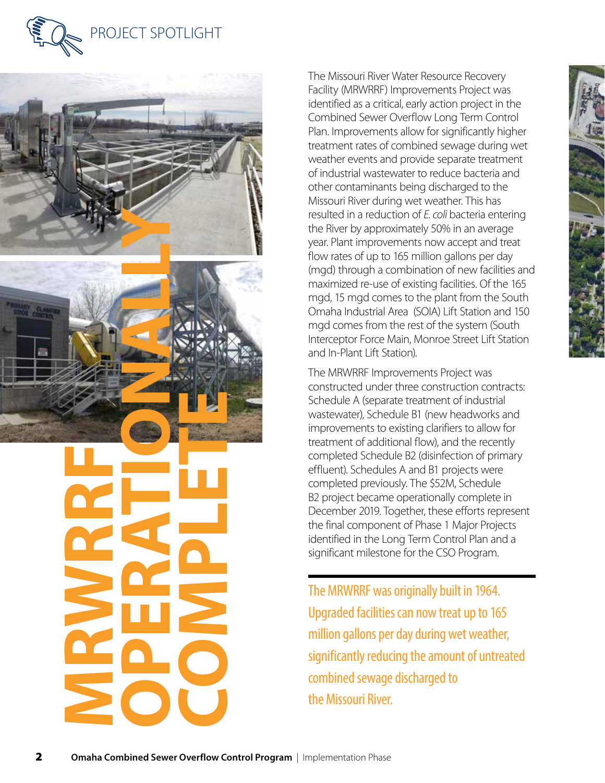





**MRWRRF OPERATION COMPLETE**  The Missouri River Water Resource Recovery Facility (MRWRRF) Improvements Project was identified as a critical, early action project in the Combined Sewer Overflow Long Term Control Plan. Improvements allow for significantly higher treatment rates of combined sewage during wet weather events and provide separate treatment of industrial wastewater to reduce bacteria and other contaminants being discharged to the Missouri River during wet weather. This has resulted in a reduction of *E. coli* bacteria entering the River by approximately 50% in an average year. Plant improvements now accept and treat flow rates of up to 165 million gallons per day (mgd) through a combination of new facilities and maximized re-use of existing facilities. Of the 165 mgd, 15 mgd comes to the plant from the South Omaha Industrial Area (SOIA) Lift Station and 150 mgd comes from the rest of the system (South Interceptor Force Main, Monroe Street Lift Station and In-Plant Lift Station).

The MRWRRF Improvements Project was constructed under three construction contracts: Schedule A (separate treatment of industrial wastewater), Schedule B1 (new headworks and improvements to existing clarifiers to allow for treatment of additional flow), and the recently completed Schedule B2 (disinfection of primary effluent). Schedules A and B1 projects were completed previously. The \$52M, Schedule B2 project became operationally complete in December 2019. Together, these efforts represent the final component of Phase 1 Major Projects identified in the Long Term Control Plan and a significant milestone for the CSO Program.

The MRWRRF was originally built in 1964. Upgraded facilities can now treat up to 165 million gallons per day during wet weather, significantly reducing the amount of untreated combined sewage discharged to the Missouri River.